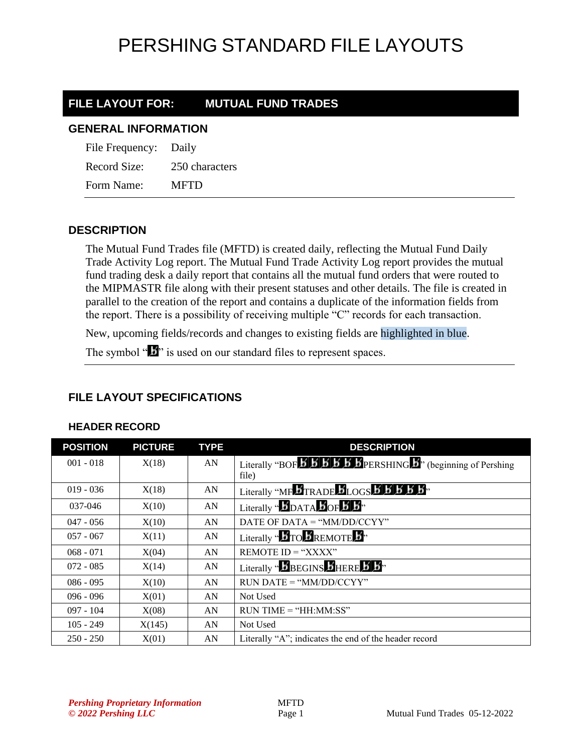### **FILE LAYOUT FOR: MUTUAL FUND TRADES**

#### **GENERAL INFORMATION**

File Frequency: Daily Record Size: 250 characters Form Name: MFTD

### **DESCRIPTION**

The Mutual Fund Trades file (MFTD) is created daily, reflecting the Mutual Fund Daily Trade Activity Log report. The Mutual Fund Trade Activity Log report provides the mutual fund trading desk a daily report that contains all the mutual fund orders that were routed to the MIPMASTR file along with their present statuses and other details. The file is created in parallel to the creation of the report and contains a duplicate of the information fields from the report. There is a possibility of receiving multiple "C" records for each transaction.

New, upcoming fields/records and changes to existing fields are highlighted in blue.

The symbol " $\mathbf{I}$ " is used on our standard files to represent spaces.

### **FILE LAYOUT SPECIFICATIONS**

#### **HEADER RECORD**

| <b>POSITION</b> | <b>PICTURE</b> | <b>TYPE</b> | <b>DESCRIPTION</b>                                                                                                                         |
|-----------------|----------------|-------------|--------------------------------------------------------------------------------------------------------------------------------------------|
| $001 - 018$     | X(18)          | AN          | Literally "BOF $\overline{B}$ $\overline{B}$ $\overline{B}$ $\overline{B}$ $\overline{B}$ PERSHING $\overline{B}$ " (beginning of Pershing |
|                 |                |             | file)                                                                                                                                      |
| $019 - 036$     | X(18)          | AN          | Literally "MF BTRADE BLOGS B B B B B"                                                                                                      |
| 037-046         | X(10)          | AN          | Literally " $\bm{B}_{\text{DATA}}$ $\bm{B}_{\text{OF}}$ $\bm{B}$ $\bm{B}$ "                                                                |
| $047 - 056$     | X(10)          | AN          | DATE OF DATA = " $MM/DD/CCYY"$                                                                                                             |
| $057 - 067$     | X(11)          | AN          | Literally " <b>BTO BREMOTE</b> B"                                                                                                          |
| $068 - 071$     | X(04)          | AN          | REMOTE $ID = "XXX'$                                                                                                                        |
| $072 - 085$     | X(14)          | AN          | Literally " <b>BEGINS BHERE B</b> .                                                                                                        |
| $086 - 095$     | X(10)          | AN          | $RUN\ DATE = "MM/DD/CCYY"$                                                                                                                 |
| $096 - 096$     | X(01)          | AN          | Not Used                                                                                                                                   |
| $097 - 104$     | X(08)          | AN          | $RUN TIME = "HH:MM:SS"$                                                                                                                    |
| $105 - 249$     | X(145)         | AN          | Not Used                                                                                                                                   |
| $250 - 250$     | X(01)          | AN          | Literally "A"; indicates the end of the header record                                                                                      |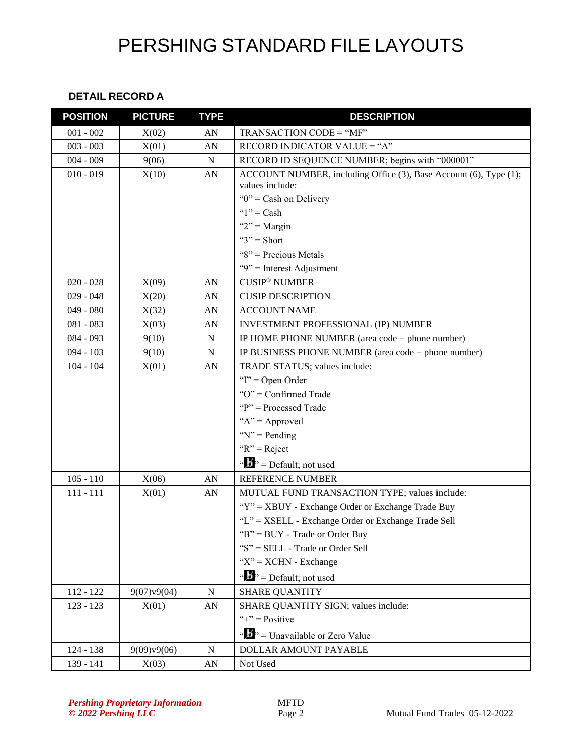#### **DETAIL RECORD A**

| <b>POSITION</b> | <b>PICTURE</b> | <b>TYPE</b> | <b>DESCRIPTION</b>                                                |
|-----------------|----------------|-------------|-------------------------------------------------------------------|
| $001 - 002$     | X(02)          | AN          | TRANSACTION CODE = "MF"                                           |
| $003 - 003$     | X(01)          | AN          | RECORD INDICATOR VALUE = "A"                                      |
| $004 - 009$     | 9(06)          | ${\bf N}$   | RECORD ID SEQUENCE NUMBER; begins with "000001"                   |
| $010 - 019$     | X(10)          | AN          | ACCOUNT NUMBER, including Office (3), Base Account (6), Type (1); |
|                 |                |             | values include:                                                   |
|                 |                |             | " $0$ " = Cash on Delivery                                        |
|                 |                |             | " $1"$ = Cash                                                     |
|                 |                |             | " $2"$ = Margin                                                   |
|                 |                |             | " $3"$ = Short                                                    |
|                 |                |             | "8" = Precious Metals                                             |
|                 |                |             | "9" = Interest Adjustment                                         |
| $020 - 028$     | X(09)          | AN          | <b>CUSIP<sup>®</sup> NUMBER</b>                                   |
| $029 - 048$     | X(20)          | AN          | <b>CUSIP DESCRIPTION</b>                                          |
| $049 - 080$     | X(32)          | AN          | <b>ACCOUNT NAME</b>                                               |
| $081 - 083$     | X(03)          | AN          | INVESTMENT PROFESSIONAL (IP) NUMBER                               |
| $084 - 093$     | 9(10)          | ${\bf N}$   | IP HOME PHONE NUMBER (area code + phone number)                   |
| $094 - 103$     | 9(10)          | $\mathbf N$ | IP BUSINESS PHONE NUMBER (area code + phone number)               |
| $104 - 104$     | X(01)          | AN          | TRADE STATUS; values include:                                     |
|                 |                |             | " $I$ " = Open Order                                              |
|                 |                |             | "O" = Confirmed Trade                                             |
|                 |                |             | " $P$ " = Processed Trade                                         |
|                 |                |             | " $A$ " = Approved                                                |
|                 |                |             | " $N$ " = Pending                                                 |
|                 |                |             | " $R$ " = Reject                                                  |
|                 |                |             | " $\mathbf{B}$ " = Default; not used                              |
| $105 - 110$     | X(06)          | AN          | <b>REFERENCE NUMBER</b>                                           |
| $111 - 111$     | X(01)          | AN          | MUTUAL FUND TRANSACTION TYPE; values include:                     |
|                 |                |             | "Y" = XBUY - Exchange Order or Exchange Trade Buy                 |
|                 |                |             | "L" = XSELL - Exchange Order or Exchange Trade Sell               |
|                 |                |             | "B" = BUY - Trade or Order Buy                                    |
|                 |                |             | "S" = SELL - Trade or Order Sell                                  |
|                 |                |             | " $X$ " = $XCHN - Exchange$                                       |
|                 |                |             | " $\mathbf{b}$ " = Default; not used                              |
| $112 - 122$     | 9(07)v9(04)    | $\mathbf N$ | <b>SHARE QUANTITY</b>                                             |
| $123 - 123$     | X(01)          | AN          | SHARE QUANTITY SIGN; values include:                              |
|                 |                |             | "+" = $Positive$                                                  |
|                 |                |             | " $\frac{1}{2}$ " = Unavailable or Zero Value                     |
| 124 - 138       | 9(09)v9(06)    | $\mathbf N$ | <b>DOLLAR AMOUNT PAYABLE</b>                                      |
| 139 - 141       | X(03)          | AN          | Not Used                                                          |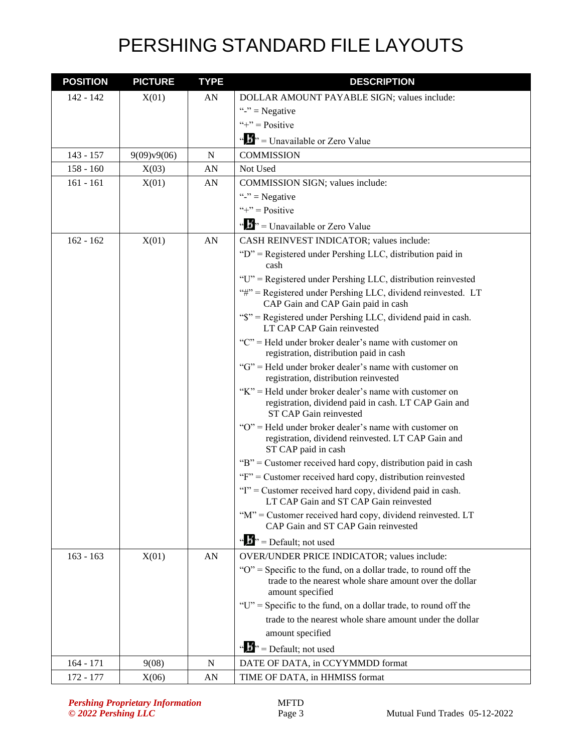| <b>POSITION</b> | <b>PICTURE</b> | <b>TYPE</b> | <b>DESCRIPTION</b>                                                                                                                                 |
|-----------------|----------------|-------------|----------------------------------------------------------------------------------------------------------------------------------------------------|
| $142 - 142$     | X(01)          | AN          | DOLLAR AMOUNT PAYABLE SIGN; values include:                                                                                                        |
|                 |                |             | "-" = Negative                                                                                                                                     |
|                 |                |             | "+" = $Positive$                                                                                                                                   |
|                 |                |             | " $\bullet$ " = Unavailable or Zero Value                                                                                                          |
| $143 - 157$     | 9(09)v9(06)    | N           | <b>COMMISSION</b>                                                                                                                                  |
| $158 - 160$     | X(03)          | AN          | Not Used                                                                                                                                           |
| $161 - 161$     | X(01)          | AN          | COMMISSION SIGN; values include:                                                                                                                   |
|                 |                |             | "-" = Negative                                                                                                                                     |
|                 |                |             | "+" = $Positive$                                                                                                                                   |
|                 |                |             | " $\mathbf{F}$ " = Unavailable or Zero Value                                                                                                       |
| $162 - 162$     | X(01)          | AN          | CASH REINVEST INDICATOR; values include:                                                                                                           |
|                 |                |             | "D" = Registered under Pershing LLC, distribution paid in<br>cash                                                                                  |
|                 |                |             | "U" = Registered under Pershing LLC, distribution reinvested                                                                                       |
|                 |                |             | "#" = Registered under Pershing LLC, dividend reinvested. LT<br>CAP Gain and CAP Gain paid in cash                                                 |
|                 |                |             | "\$" = Registered under Pershing LLC, dividend paid in cash.<br>LT CAP CAP Gain reinvested                                                         |
|                 |                |             | "C" = Held under broker dealer's name with customer on<br>registration, distribution paid in cash                                                  |
|                 |                |             | "G" = Held under broker dealer's name with customer on<br>registration, distribution reinvested                                                    |
|                 |                |             | "K" = Held under broker dealer's name with customer on<br>registration, dividend paid in cash. LT CAP Gain and<br>ST CAP Gain reinvested           |
|                 |                |             | "O" = Held under broker dealer's name with customer on<br>registration, dividend reinvested. LT CAP Gain and<br>ST CAP paid in cash                |
|                 |                |             | "B" = Customer received hard copy, distribution paid in cash                                                                                       |
|                 |                |             | "F" = Customer received hard copy, distribution reinvested                                                                                         |
|                 |                |             | "I" = Customer received hard copy, dividend paid in cash.<br>LT CAP Gain and ST CAP Gain reinvested                                                |
|                 |                |             | "M" = Customer received hard copy, dividend reinvested. LT<br>CAP Gain and ST CAP Gain reinvested                                                  |
|                 |                |             | " $\mathbf{D}$ " = Default; not used                                                                                                               |
| $163 - 163$     | X(01)          | AN          | OVER/UNDER PRICE INDICATOR; values include:                                                                                                        |
|                 |                |             | " $O$ " = Specific to the fund, on a dollar trade, to round off the<br>trade to the nearest whole share amount over the dollar<br>amount specified |
|                 |                |             | "U" = Specific to the fund, on a dollar trade, to round off the                                                                                    |
|                 |                |             | trade to the nearest whole share amount under the dollar                                                                                           |
|                 |                |             | amount specified                                                                                                                                   |
|                 |                |             | " $\mathbf{D}$ " = Default; not used                                                                                                               |
| $164 - 171$     | 9(08)          | N           | DATE OF DATA, in CCYYMMDD format                                                                                                                   |
| 172 - 177       | X(06)          | AN          | TIME OF DATA, in HHMISS format                                                                                                                     |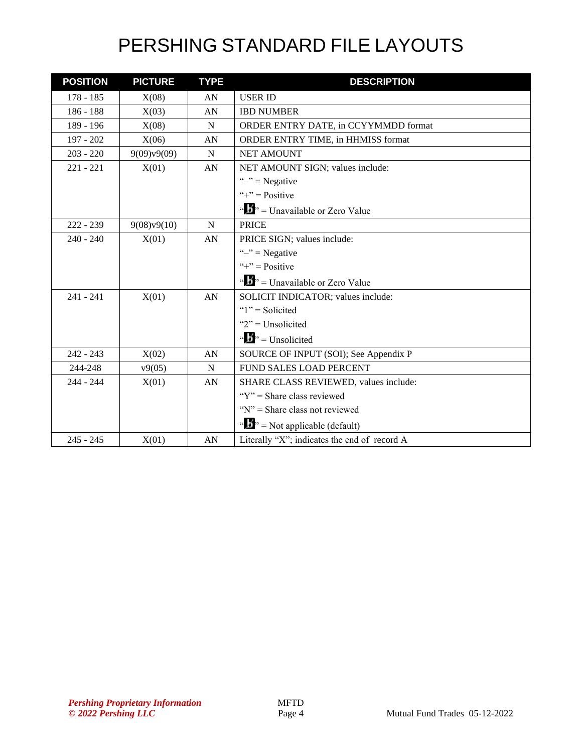| <b>POSITION</b> | <b>PICTURE</b> | <b>TYPE</b> | <b>DESCRIPTION</b>                                       |
|-----------------|----------------|-------------|----------------------------------------------------------|
| $178 - 185$     | X(08)          | AN          | <b>USER ID</b>                                           |
| 186 - 188       | X(03)          | AN          | <b>IBD NUMBER</b>                                        |
| 189 - 196       | X(08)          | N           | ORDER ENTRY DATE, in CCYYMMDD format                     |
| 197 - 202       | X(06)          | AN          | ORDER ENTRY TIME, in HHMISS format                       |
| $203 - 220$     | 9(09)v9(09)    | N           | <b>NET AMOUNT</b>                                        |
| $221 - 221$     | X(01)          | AN          | NET AMOUNT SIGN; values include:                         |
|                 |                |             | " $-$ " = Negative                                       |
|                 |                |             | "+" = $Positive$                                         |
|                 |                |             | "" $\cdot$ = Unavailable or Zero Value                   |
| $222 - 239$     | 9(08)v9(10)    | N           | <b>PRICE</b>                                             |
| $240 - 240$     | X(01)          | AN          | PRICE SIGN; values include:                              |
|                 |                |             | " $-$ " = Negative                                       |
|                 |                |             | "+" = $Positive$                                         |
|                 |                |             | " $\frac{1}{2}$ " = Unavailable or Zero Value            |
| $241 - 241$     | X(01)          | AN          | SOLICIT INDICATOR; values include:                       |
|                 |                |             | " $1"$ = Solicited                                       |
|                 |                |             | " $2$ " = Unsolicited                                    |
|                 |                |             | $\mathbf{u} \cdot \mathbf{B}$ <sup>3</sup> = Unsolicited |
| $242 - 243$     | X(02)          | AN          | SOURCE OF INPUT (SOI); See Appendix P                    |
| 244-248         | v9(05)         | N           | <b>FUND SALES LOAD PERCENT</b>                           |
| $244 - 244$     | X(01)          | AN          | SHARE CLASS REVIEWED, values include:                    |
|                 |                |             | " $Y$ " = Share class reviewed                           |
|                 |                |             | " $N$ " = Share class not reviewed                       |
|                 |                |             | " $\mathbf{F}$ " = Not applicable (default)              |
| $245 - 245$     | X(01)          | AN          | Literally "X"; indicates the end of record A             |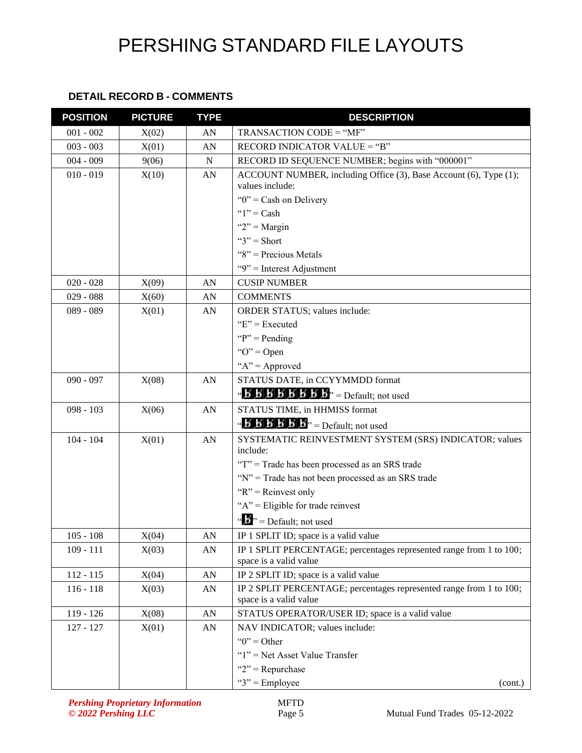#### **DETAIL RECORD B - COMMENTS**

| <b>POSITION</b> | <b>PICTURE</b> | <b>TYPE</b> | <b>DESCRIPTION</b>                                                                                                     |
|-----------------|----------------|-------------|------------------------------------------------------------------------------------------------------------------------|
| $001 - 002$     | X(02)          | AN          | TRANSACTION CODE = "MF"                                                                                                |
| $003 - 003$     | X(01)          | AN          | RECORD INDICATOR VALUE = "B"                                                                                           |
| $004 - 009$     | 9(06)          | ${\bf N}$   | RECORD ID SEQUENCE NUMBER; begins with "000001"                                                                        |
| $010 - 019$     | X(10)          | AN          | ACCOUNT NUMBER, including Office (3), Base Account (6), Type (1);<br>values include:                                   |
|                 |                |             | " $0$ " = Cash on Delivery                                                                                             |
|                 |                |             | " $1"$ = Cash                                                                                                          |
|                 |                |             | " $2"$ = Margin                                                                                                        |
|                 |                |             | " $3"$ = Short                                                                                                         |
|                 |                |             | " $8$ " = Precious Metals                                                                                              |
|                 |                |             | "9" = Interest Adjustment                                                                                              |
| $020 - 028$     | X(09)          | AN          | <b>CUSIP NUMBER</b>                                                                                                    |
| $029 - 088$     | X(60)          | AN          | <b>COMMENTS</b>                                                                                                        |
| 089 - 089       | X(01)          | AN          | ORDER STATUS; values include:                                                                                          |
|                 |                |             | " $E$ " = Executed                                                                                                     |
|                 |                |             | " $P$ " = Pending"                                                                                                     |
|                 |                |             | " $O$ " = Open                                                                                                         |
|                 |                |             | " $A$ " = Approved                                                                                                     |
| $090 - 097$     | X(08)          | AN          | STATUS DATE, in CCYYMMDD format                                                                                        |
|                 |                |             | $\mathbf{B}'$ $\mathbf{B}'$ $\mathbf{B}'$ $\mathbf{B}'$ $\mathbf{B}'$ $\mathbf{B}'$ $\mathbf{B}''$ = Default; not used |
| $098 - 103$     | X(06)          | AN          | STATUS TIME, in HHMISS format                                                                                          |
|                 |                |             | $\mathbf{A} \mathbf{B} \mathbf{B} \mathbf{B} \mathbf{B} \mathbf{B} \mathbf{B}$ <sup>3</sup> = Default; not used        |
| $104 - 104$     | X(01)          | AN          | SYSTEMATIC REINVESTMENT SYSTEM (SRS) INDICATOR; values<br>include:                                                     |
|                 |                |             | "T" = Trade has been processed as an SRS trade                                                                         |
|                 |                |             | "N" = Trade has not been processed as an SRS trade                                                                     |
|                 |                |             | " $R$ " = Reinvest only                                                                                                |
|                 |                |             | " $A$ " = Eligible for trade reinvest                                                                                  |
|                 |                |             | $\mathbf{a} \cdot \mathbf{b}$ <sup>3</sup> = Default; not used                                                         |
| $105 - 108$     | X(04)          | ${\rm AN}$  | IP 1 SPLIT ID; space is a valid value                                                                                  |
| $109 - 111$     | X(03)          | ${\rm AN}$  | IP 1 SPLIT PERCENTAGE; percentages represented range from 1 to 100;<br>space is a valid value                          |
| $112 - 115$     | X(04)          | AN          | IP 2 SPLIT ID; space is a valid value                                                                                  |
| $116 - 118$     | X(03)          | AN          | IP 2 SPLIT PERCENTAGE; percentages represented range from 1 to 100;                                                    |
|                 |                |             | space is a valid value                                                                                                 |
| $119 - 126$     | X(08)          | AN          | STATUS OPERATOR/USER ID; space is a valid value                                                                        |
| $127 - 127$     | X(01)          | AN          | NAV INDICATOR; values include:                                                                                         |
|                 |                |             | " $0$ " = Other                                                                                                        |
|                 |                |             | " $1$ " = Net Asset Value Transfer                                                                                     |
|                 |                |             | " $2$ " = Repurchase                                                                                                   |
|                 |                |             | " $3$ " = Employee<br>(cont.)                                                                                          |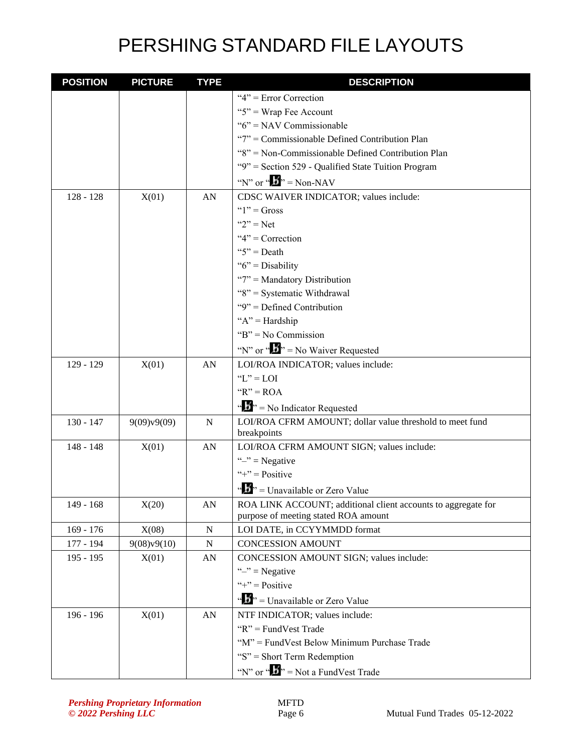| <b>POSITION</b> | <b>PICTURE</b> | <b>TYPE</b>      | <b>DESCRIPTION</b>                                            |
|-----------------|----------------|------------------|---------------------------------------------------------------|
|                 |                |                  | " $4$ " = Error Correction                                    |
|                 |                |                  | " $5$ " = Wrap Fee Account                                    |
|                 |                |                  | " $6$ " = NAV Commissionable                                  |
|                 |                |                  | "7" = Commissionable Defined Contribution Plan                |
|                 |                |                  | "8" = Non-Commissionable Defined Contribution Plan            |
|                 |                |                  | "9" = Section 529 - Qualified State Tuition Program           |
|                 |                |                  | "N" or " $\mathbf{L}$ " = Non-NAV                             |
| $128 - 128$     | X(01)          | AN               | CDSC WAIVER INDICATOR; values include:                        |
|                 |                |                  | " $1"$ = Gross                                                |
|                 |                |                  | " $2$ " = Net                                                 |
|                 |                |                  | " $4$ " = Correction                                          |
|                 |                |                  | " $5$ " = Death                                               |
|                 |                |                  | " $6$ " = Disability                                          |
|                 |                |                  | "7" = Mandatory Distribution                                  |
|                 |                |                  | "8" = Systematic Withdrawal                                   |
|                 |                |                  | " $9$ " = Defined Contribution                                |
|                 |                |                  | " $A$ " = Hardship                                            |
|                 |                |                  | " $B$ " = No Commission                                       |
|                 |                |                  | "N" or " $\mathbf{B}$ " = No Waiver Requested                 |
| 129 - 129       | X(01)          | AN               | LOI/ROA INDICATOR; values include:                            |
|                 |                |                  | " $L$ " = LOI                                                 |
|                 |                |                  | " $R$ " = ROA                                                 |
|                 |                |                  | $\mathbf{A}^{\mathbf{B}}$ > = No Indicator Requested          |
| $130 - 147$     | 9(09)v9(09)    | $\mathbf N$      | LOI/ROA CFRM AMOUNT; dollar value threshold to meet fund      |
|                 |                |                  | breakpoints                                                   |
| 148 - 148       | X(01)          | AN               | LOI/ROA CFRM AMOUNT SIGN; values include:                     |
|                 |                |                  | " $-$ " = Negative                                            |
|                 |                |                  | "+" = $Positive$                                              |
|                 |                |                  | $\cdots$ , $\cdots$ Unavailable or Zero Value                 |
| $149 - 168$     | X(20)          | AN               | ROA LINK ACCOUNT; additional client accounts to aggregate for |
|                 |                |                  | purpose of meeting stated ROA amount                          |
| $169 - 176$     | X(08)          | $\mathbf N$      | LOI DATE, in CCYYMMDD format                                  |
| 177 - 194       | 9(08)v9(10)    | N                | <b>CONCESSION AMOUNT</b>                                      |
| $195 - 195$     | X(01)          | AN               | CONCESSION AMOUNT SIGN; values include:                       |
|                 |                |                  | " $-$ " = Negative                                            |
|                 |                |                  | "+" = $Positive$                                              |
|                 |                |                  | $\cdots$ , $\cdots$ , $\cdots$ Unavailable or Zero Value      |
| 196 - 196       | X(01)          | ${\bf A}{\bf N}$ | NTF INDICATOR; values include:                                |
|                 |                |                  | " $R$ " = FundVest Trade                                      |
|                 |                |                  | "M" = FundVest Below Minimum Purchase Trade                   |
|                 |                |                  | "S" = Short Term Redemption                                   |
|                 |                |                  | "N" or " $\bullet$ " = Not a FundVest Trade                   |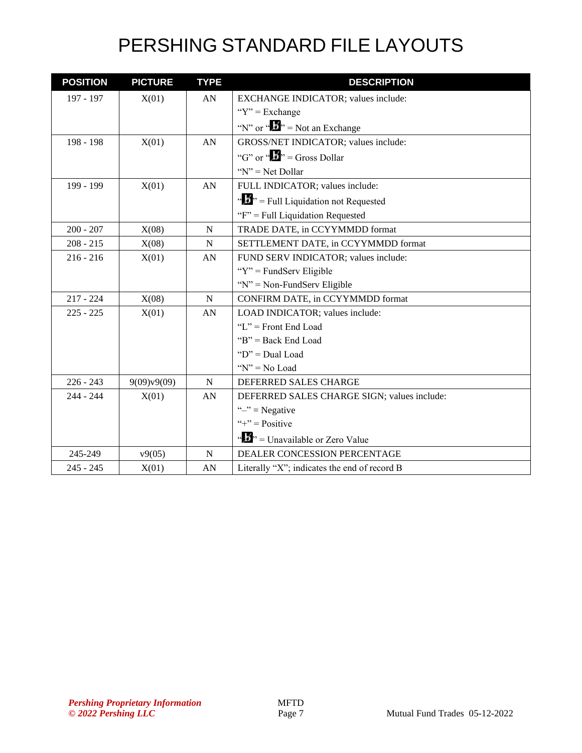| <b>POSITION</b> | <b>PICTURE</b> | <b>TYPE</b> | <b>DESCRIPTION</b>                                                        |
|-----------------|----------------|-------------|---------------------------------------------------------------------------|
| 197 - 197       | X(01)          | AN          | EXCHANGE INDICATOR; values include:                                       |
|                 |                |             | " $Y$ " = Exchange                                                        |
|                 |                |             | "N" or " $\bullet$ " = Not an Exchange                                    |
| 198 - 198       | X(01)          | AN          | GROSS/NET INDICATOR; values include:                                      |
|                 |                |             | "G" or " $\mathbf{L}$ " = Gross Dollar                                    |
|                 |                |             | " $N$ " = Net Dollar                                                      |
| 199 - 199       | X(01)          | AN          | FULL INDICATOR; values include:                                           |
|                 |                |             | $\mathbf{F}$ <sup>2</sup> , $\mathbf{F}$ = Full Liquidation not Requested |
|                 |                |             | " $F$ " = Full Liquidation Requested                                      |
| $200 - 207$     | X(08)          | $\mathbf N$ | TRADE DATE, in CCYYMMDD format                                            |
| $208 - 215$     | X(08)          | N           | SETTLEMENT DATE, in CCYYMMDD format                                       |
| $216 - 216$     | X(01)          | AN          | FUND SERV INDICATOR; values include:                                      |
|                 |                |             | " $Y$ " = FundServ Eligible                                               |
|                 |                |             | "N" = Non-FundServ Eligible                                               |
| $217 - 224$     | X(08)          | N           | CONFIRM DATE, in CCYYMMDD format                                          |
| $225 - 225$     | X(01)          | AN          | LOAD INDICATOR; values include:                                           |
|                 |                |             | "L" = Front End Load                                                      |
|                 |                |             | " $B$ " = Back End Load                                                   |
|                 |                |             | " $D$ " = Dual Load                                                       |
|                 |                |             | " $N$ " = No Load                                                         |
| $226 - 243$     | 9(09)v9(09)    | N           | DEFERRED SALES CHARGE                                                     |
| $244 - 244$     | X(01)          | AN          | DEFERRED SALES CHARGE SIGN; values include:                               |
|                 |                |             | " $-$ " = Negative                                                        |
|                 |                |             | "+" = $Positive$                                                          |
|                 |                |             | " $\frac{1}{2}$ " = Unavailable or Zero Value                             |
| 245-249         | v9(05)         | N           | DEALER CONCESSION PERCENTAGE                                              |
| $245 - 245$     | X(01)          | AN          | Literally "X"; indicates the end of record B                              |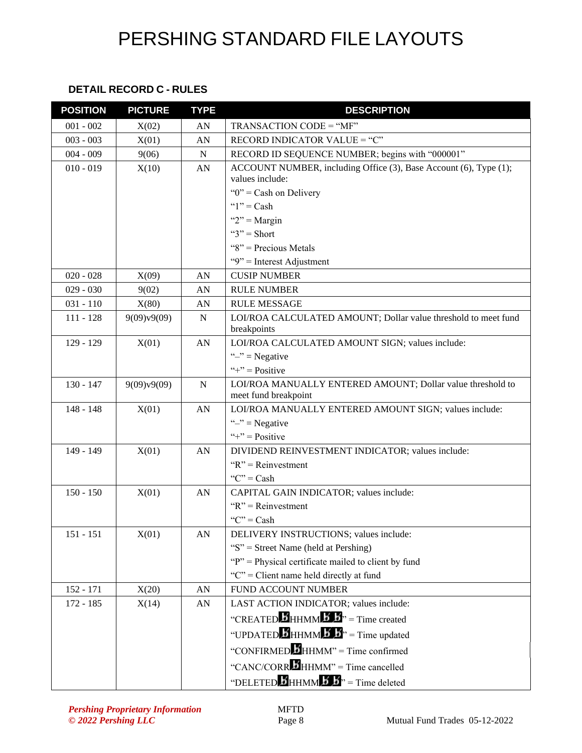#### **DETAIL RECORD C - RULES**

| <b>POSITION</b> | <b>PICTURE</b> | <b>TYPE</b> | <b>DESCRIPTION</b>                                                                 |
|-----------------|----------------|-------------|------------------------------------------------------------------------------------|
| $001 - 002$     | X(02)          | AN          | $TRANSACTION CODE = "MF"$                                                          |
| $003 - 003$     | X(01)          | AN          | RECORD INDICATOR VALUE = "C"                                                       |
| $004 - 009$     | 9(06)          | ${\bf N}$   | RECORD ID SEQUENCE NUMBER; begins with "000001"                                    |
| $010 - 019$     | X(10)          | AN          | ACCOUNT NUMBER, including Office (3), Base Account (6), Type (1);                  |
|                 |                |             | values include:                                                                    |
|                 |                |             | " $0$ " = Cash on Delivery                                                         |
|                 |                |             | " $1"$ = Cash                                                                      |
|                 |                |             | " $2"$ = Margin                                                                    |
|                 |                |             | " $3"$ = Short                                                                     |
|                 |                |             | " $8$ " = Precious Metals                                                          |
|                 |                |             | "9" = Interest Adjustment                                                          |
| $020 - 028$     | X(09)          | AN          | <b>CUSIP NUMBER</b>                                                                |
| $029 - 030$     | 9(02)          | AN          | <b>RULE NUMBER</b>                                                                 |
| $031 - 110$     | X(80)          | AN          | <b>RULE MESSAGE</b>                                                                |
| $111 - 128$     | 9(09)v9(09)    | N           | LOI/ROA CALCULATED AMOUNT; Dollar value threshold to meet fund                     |
|                 |                |             | breakpoints                                                                        |
| $129 - 129$     | X(01)          | AN          | LOI/ROA CALCULATED AMOUNT SIGN; values include:                                    |
|                 |                |             | " $-$ " = Negative                                                                 |
|                 |                |             | "+" = $Positive$                                                                   |
| $130 - 147$     | 9(09)v9(09)    | $\mathbf N$ | LOI/ROA MANUALLY ENTERED AMOUNT; Dollar value threshold to<br>meet fund breakpoint |
| $148 - 148$     | X(01)          | AN          | LOI/ROA MANUALLY ENTERED AMOUNT SIGN; values include:                              |
|                 |                |             | " $-$ " = Negative                                                                 |
|                 |                |             | "+" = $Positive$                                                                   |
| 149 - 149       | X(01)          | AN          | DIVIDEND REINVESTMENT INDICATOR; values include:                                   |
|                 |                |             | " $R$ " = Reinvestment                                                             |
|                 |                |             | " $C$ " = Cash                                                                     |
| $150 - 150$     | X(01)          | AN          | CAPITAL GAIN INDICATOR; values include:                                            |
|                 |                |             | " $R$ " = Reinvestment                                                             |
|                 |                |             | " $C$ " = Cash                                                                     |
| $151 - 151$     | X(01)          | AN          | DELIVERY INSTRUCTIONS; values include:                                             |
|                 |                |             | "S" = Street Name (held at Pershing)                                               |
|                 |                |             | "P" = Physical certificate mailed to client by fund                                |
|                 |                |             | "C" = Client name held directly at fund                                            |
| $152 - 171$     | X(20)          | AN          | <b>FUND ACCOUNT NUMBER</b>                                                         |
| $172 - 185$     | X(14)          | AN          | LAST ACTION INDICATOR; values include:                                             |
|                 |                |             | "CREATED <b>B</b> HHMM <b>B</b> <sub>"</sub> $\mathbf{B}$ " = Time created         |
|                 |                |             | "UPDATED HHMM 5 5" = Time updated                                                  |
|                 |                |             | "CONFIRMED HHMM" = Time confirmed                                                  |
|                 |                |             | "CANC/CORREHHMM" = Time cancelled                                                  |
|                 |                |             | "DELETED $\overline{B}$ HHMM $\overline{B}$ " = Time deleted                       |